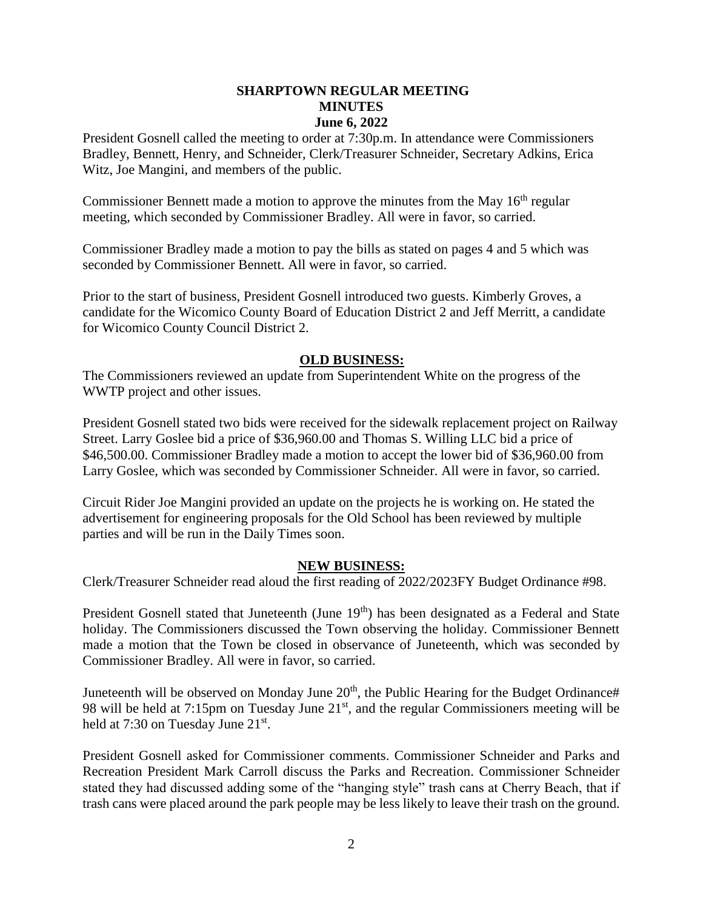## **SHARPTOWN REGULAR MEETING MINUTES June 6, 2022**

President Gosnell called the meeting to order at 7:30p.m. In attendance were Commissioners Bradley, Bennett, Henry, and Schneider, Clerk/Treasurer Schneider, Secretary Adkins, Erica Witz, Joe Mangini, and members of the public.

Commissioner Bennett made a motion to approve the minutes from the May  $16<sup>th</sup>$  regular meeting, which seconded by Commissioner Bradley. All were in favor, so carried.

Commissioner Bradley made a motion to pay the bills as stated on pages 4 and 5 which was seconded by Commissioner Bennett. All were in favor, so carried.

Prior to the start of business, President Gosnell introduced two guests. Kimberly Groves, a candidate for the Wicomico County Board of Education District 2 and Jeff Merritt, a candidate for Wicomico County Council District 2.

## **OLD BUSINESS:**

The Commissioners reviewed an update from Superintendent White on the progress of the WWTP project and other issues.

President Gosnell stated two bids were received for the sidewalk replacement project on Railway Street. Larry Goslee bid a price of \$36,960.00 and Thomas S. Willing LLC bid a price of \$46,500.00. Commissioner Bradley made a motion to accept the lower bid of \$36,960.00 from Larry Goslee, which was seconded by Commissioner Schneider. All were in favor, so carried.

Circuit Rider Joe Mangini provided an update on the projects he is working on. He stated the advertisement for engineering proposals for the Old School has been reviewed by multiple parties and will be run in the Daily Times soon.

## **NEW BUSINESS:**

Clerk/Treasurer Schneider read aloud the first reading of 2022/2023FY Budget Ordinance #98.

President Gosnell stated that Juneteenth (June 19<sup>th</sup>) has been designated as a Federal and State holiday. The Commissioners discussed the Town observing the holiday. Commissioner Bennett made a motion that the Town be closed in observance of Juneteenth, which was seconded by Commissioner Bradley. All were in favor, so carried.

Juneteenth will be observed on Monday June  $20<sup>th</sup>$ , the Public Hearing for the Budget Ordinance# 98 will be held at 7:15pm on Tuesday June  $21<sup>st</sup>$ , and the regular Commissioners meeting will be held at 7:30 on Tuesday June 21<sup>st</sup>.

President Gosnell asked for Commissioner comments. Commissioner Schneider and Parks and Recreation President Mark Carroll discuss the Parks and Recreation. Commissioner Schneider stated they had discussed adding some of the "hanging style" trash cans at Cherry Beach, that if trash cans were placed around the park people may be less likely to leave their trash on the ground.